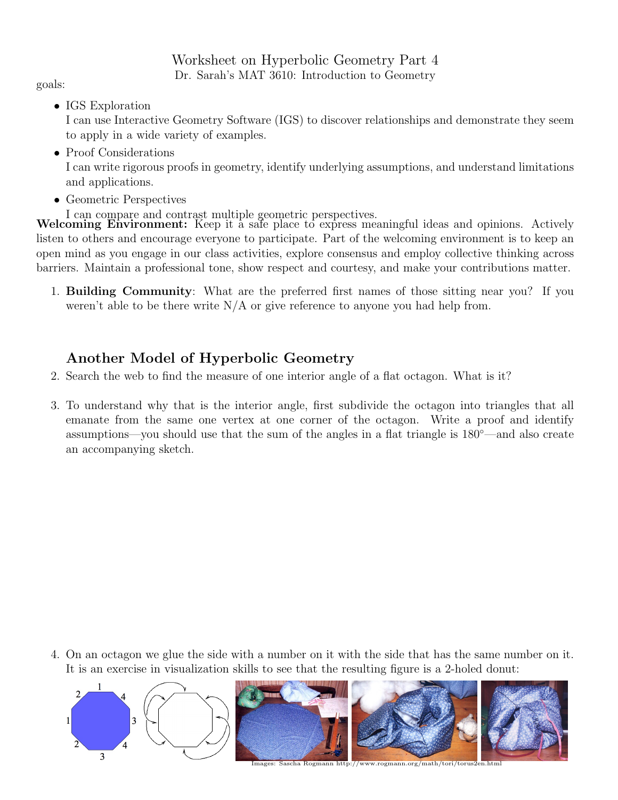Worksheet on Hyperbolic Geometry Part 4 Dr. Sarah's MAT 3610: Introduction to Geometry

goals:

• IGS Exploration

I can use Interactive Geometry Software (IGS) to discover relationships and demonstrate they seem to apply in a wide variety of examples.

• Proof Considerations

I can write rigorous proofs in geometry, identify underlying assumptions, and understand limitations and applications.

- Geometric Perspectives
- 

I can compare and contrast multiple geometric perspectives. Welcoming Environment: Keep it a safe place to express meaningful ideas and opinions. Actively listen to others and encourage everyone to participate. Part of the welcoming environment is to keep an open mind as you engage in our class activities, explore consensus and employ collective thinking across barriers. Maintain a professional tone, show respect and courtesy, and make your contributions matter.

1. Building Community: What are the preferred first names of those sitting near you? If you weren't able to be there write  $N/A$  or give reference to anyone you had help from.

## Another Model of Hyperbolic Geometry

- 2. Search the web to find the measure of one interior angle of a flat octagon. What is it?
- 3. To understand why that is the interior angle, first subdivide the octagon into triangles that all emanate from the same one vertex at one corner of the octagon. Write a proof and identify assumptions—you should use that the sum of the angles in a flat triangle is 180◦—and also create an accompanying sketch.

4. On an octagon we glue the side with a number on it with the side that has the same number on it. It is an exercise in visualization skills to see that the resulting figure is a 2-holed donut:



 $\frac{1}{\text{images: }}\text{Sascha Rogmann http:}/\text{www.rogramann.org/math/tori/toru}$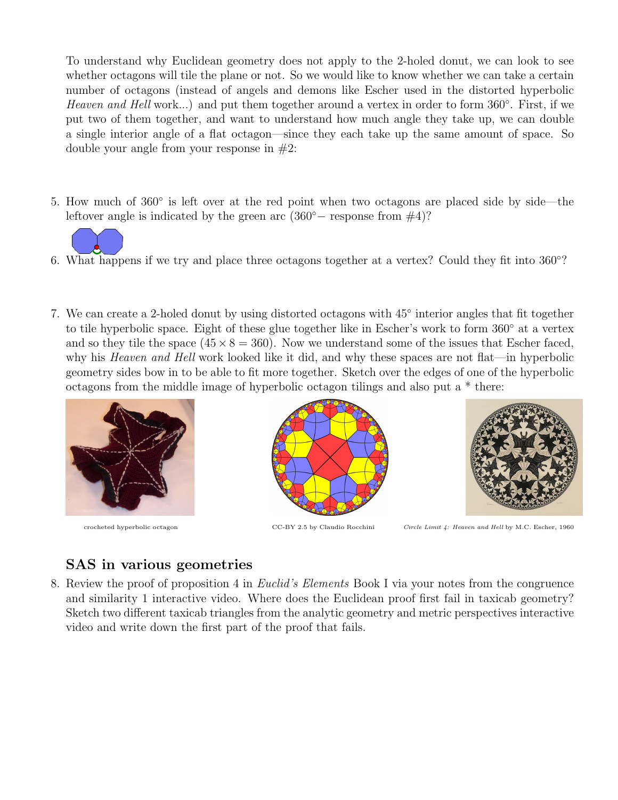To understand why Euclidean geometry does not apply to the 2-holed donut, we can look to see whether octagons will tile the plane or not. So we would like to know whether we can take a certain number of octagons (instead of angels and demons like Escher used in the distorted hyperbolic Heaven and Hell work...) and put them together around a vertex in order to form 360°. First, if we put two of them together, and want to understand how much angle they take up, we can double a single interior angle of a flat octagon—since they each take up the same amount of space. So double your angle from your response in  $#2$ :

5. How much of 360° is left over at the red point when two octagons are placed side by side—the leftover angle is indicated by the green arc  $(360°$  response from  $#4$ )?



- 6. What happens if we try and place three octagons together at a vertex? Could they fit into 360◦ ?
- 7. We can create a 2-holed donut by using distorted octagons with 45◦ interior angles that fit together to tile hyperbolic space. Eight of these glue together like in Escher's work to form 360◦ at a vertex and so they tile the space  $(45 \times 8 = 360)$ . Now we understand some of the issues that Escher faced, why his *Heaven and Hell* work looked like it did, and why these spaces are not flat—in hyperbolic geometry sides bow in to be able to fit more together. Sketch over the edges of one of the hyperbolic octagons from the middle image of hyperbolic octagon tilings and also put a \* there:







crocheted hyperbolic octagon CC-BY 2.5 by Claudio Rocchini Circle Limit 4: Heaven and Hell by M.C. Escher, 1960

## SAS in various geometries

8. Review the proof of proposition 4 in Euclid's Elements Book I via your notes from the congruence and similarity 1 interactive video. Where does the Euclidean proof first fail in taxicab geometry? Sketch two different taxicab triangles from the analytic geometry and metric perspectives interactive video and write down the first part of the proof that fails.